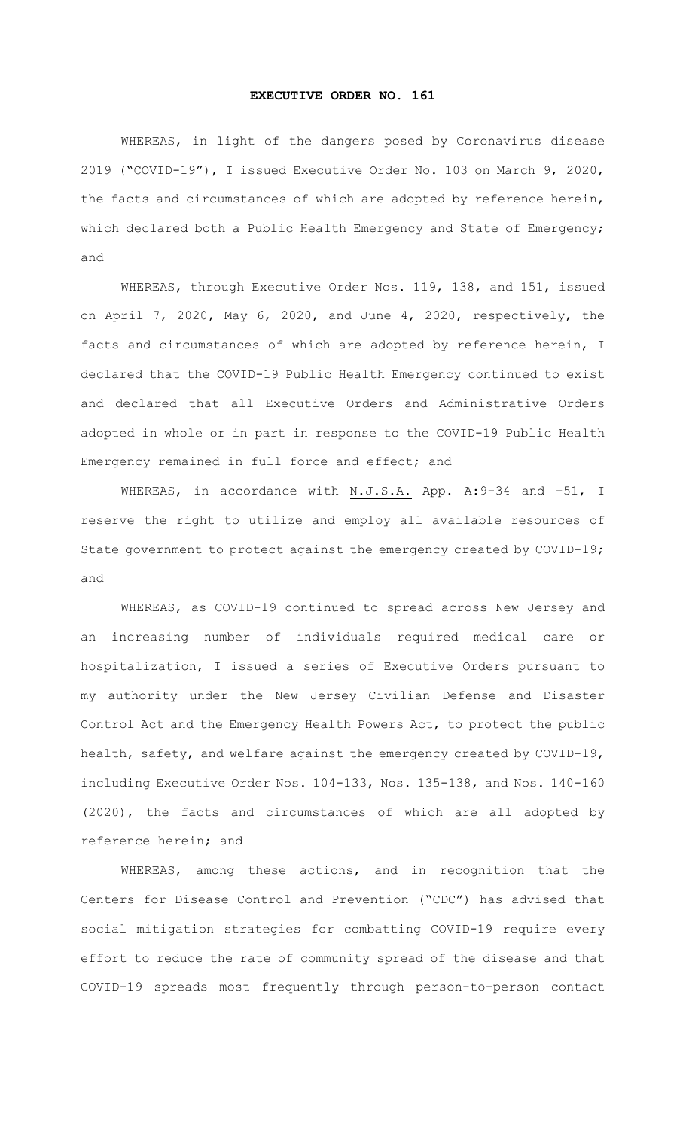## **EXECUTIVE ORDER NO. 161**

WHEREAS, in light of the dangers posed by Coronavirus disease 2019 ("COVID-19"), I issued Executive Order No. 103 on March 9, 2020, the facts and circumstances of which are adopted by reference herein, which declared both a Public Health Emergency and State of Emergency; and

WHEREAS, through Executive Order Nos. 119, 138, and 151, issued on April 7, 2020, May 6, 2020, and June 4, 2020, respectively, the facts and circumstances of which are adopted by reference herein, I declared that the COVID-19 Public Health Emergency continued to exist and declared that all Executive Orders and Administrative Orders adopted in whole or in part in response to the COVID-19 Public Health Emergency remained in full force and effect; and

WHEREAS, in accordance with N.J.S.A. App. A:9-34 and -51, I reserve the right to utilize and employ all available resources of State government to protect against the emergency created by COVID-19; and

WHEREAS, as COVID-19 continued to spread across New Jersey and an increasing number of individuals required medical care or hospitalization, I issued a series of Executive Orders pursuant to my authority under the New Jersey Civilian Defense and Disaster Control Act and the Emergency Health Powers Act, to protect the public health, safety, and welfare against the emergency created by COVID-19, including Executive Order Nos. 104-133, Nos. 135-138, and Nos. 140-160 (2020), the facts and circumstances of which are all adopted by reference herein; and

WHEREAS, among these actions, and in recognition that the Centers for Disease Control and Prevention ("CDC") has advised that social mitigation strategies for combatting COVID-19 require every effort to reduce the rate of community spread of the disease and that COVID-19 spreads most frequently through person-to-person contact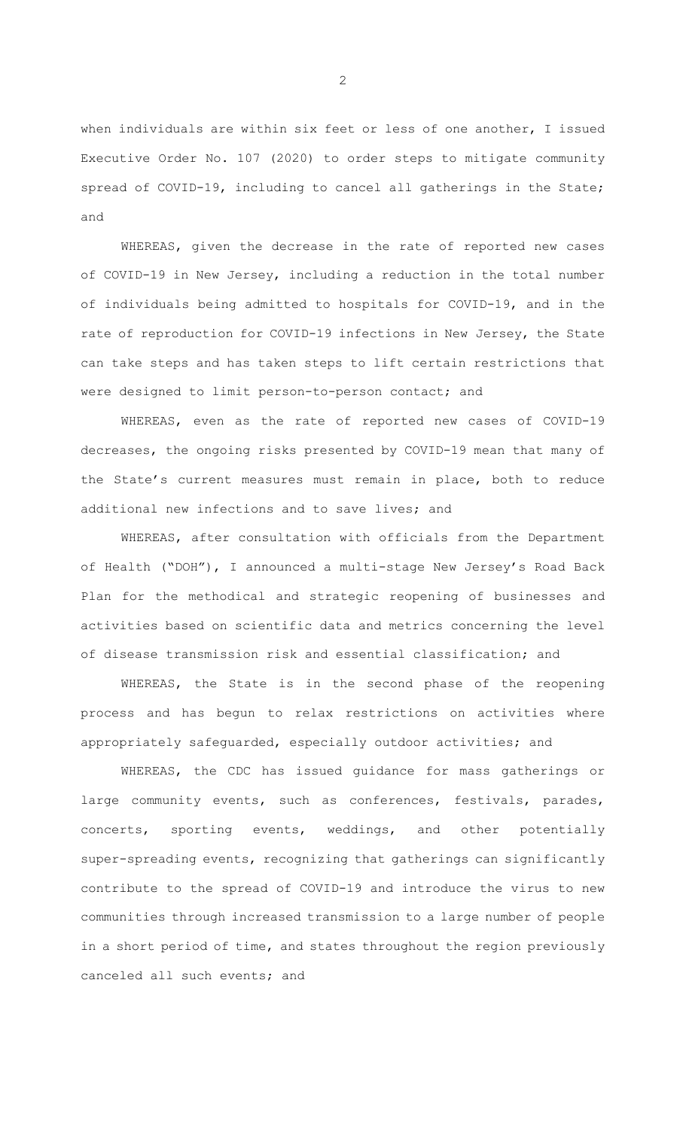when individuals are within six feet or less of one another, I issued Executive Order No. 107 (2020) to order steps to mitigate community spread of COVID-19, including to cancel all gatherings in the State; and

WHEREAS, given the decrease in the rate of reported new cases of COVID-19 in New Jersey, including a reduction in the total number of individuals being admitted to hospitals for COVID-19, and in the rate of reproduction for COVID-19 infections in New Jersey, the State can take steps and has taken steps to lift certain restrictions that were designed to limit person-to-person contact; and

WHEREAS, even as the rate of reported new cases of COVID-19 decreases, the ongoing risks presented by COVID-19 mean that many of the State's current measures must remain in place, both to reduce additional new infections and to save lives; and

WHEREAS, after consultation with officials from the Department of Health ("DOH"), I announced a multi-stage New Jersey's Road Back Plan for the methodical and strategic reopening of businesses and activities based on scientific data and metrics concerning the level of disease transmission risk and essential classification; and

WHEREAS, the State is in the second phase of the reopening process and has begun to relax restrictions on activities where appropriately safeguarded, especially outdoor activities; and

WHEREAS, the CDC has issued guidance for mass gatherings or large community events, such as conferences, festivals, parades, concerts, sporting events, weddings, and other potentially super-spreading events, recognizing that gatherings can significantly contribute to the spread of COVID-19 and introduce the virus to new communities through increased transmission to a large number of people in a short period of time, and states throughout the region previously canceled all such events; and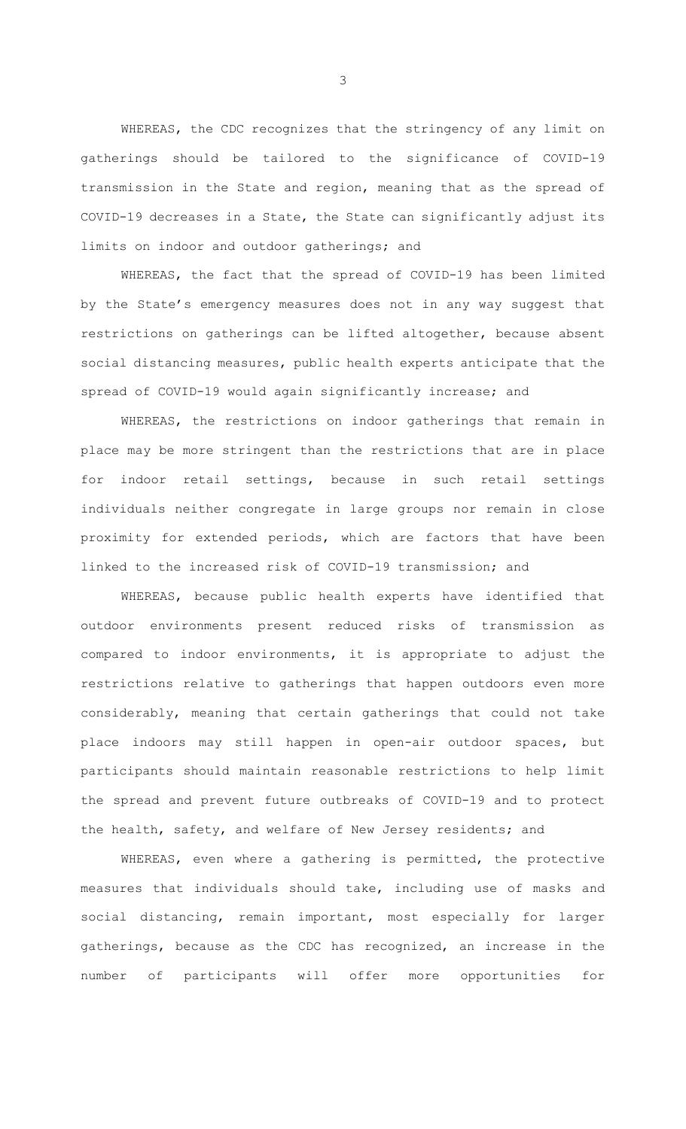WHEREAS, the CDC recognizes that the stringency of any limit on gatherings should be tailored to the significance of COVID-19 transmission in the State and region, meaning that as the spread of COVID-19 decreases in a State, the State can significantly adjust its limits on indoor and outdoor gatherings; and

WHEREAS, the fact that the spread of COVID-19 has been limited by the State's emergency measures does not in any way suggest that restrictions on gatherings can be lifted altogether, because absent social distancing measures, public health experts anticipate that the spread of COVID-19 would again significantly increase; and

WHEREAS, the restrictions on indoor gatherings that remain in place may be more stringent than the restrictions that are in place for indoor retail settings, because in such retail settings individuals neither congregate in large groups nor remain in close proximity for extended periods, which are factors that have been linked to the increased risk of COVID-19 transmission; and

WHEREAS, because public health experts have identified that outdoor environments present reduced risks of transmission as compared to indoor environments, it is appropriate to adjust the restrictions relative to gatherings that happen outdoors even more considerably, meaning that certain gatherings that could not take place indoors may still happen in open-air outdoor spaces, but participants should maintain reasonable restrictions to help limit the spread and prevent future outbreaks of COVID-19 and to protect the health, safety, and welfare of New Jersey residents; and

WHEREAS, even where a gathering is permitted, the protective measures that individuals should take, including use of masks and social distancing, remain important, most especially for larger gatherings, because as the CDC has recognized, an increase in the number of participants will offer more opportunities for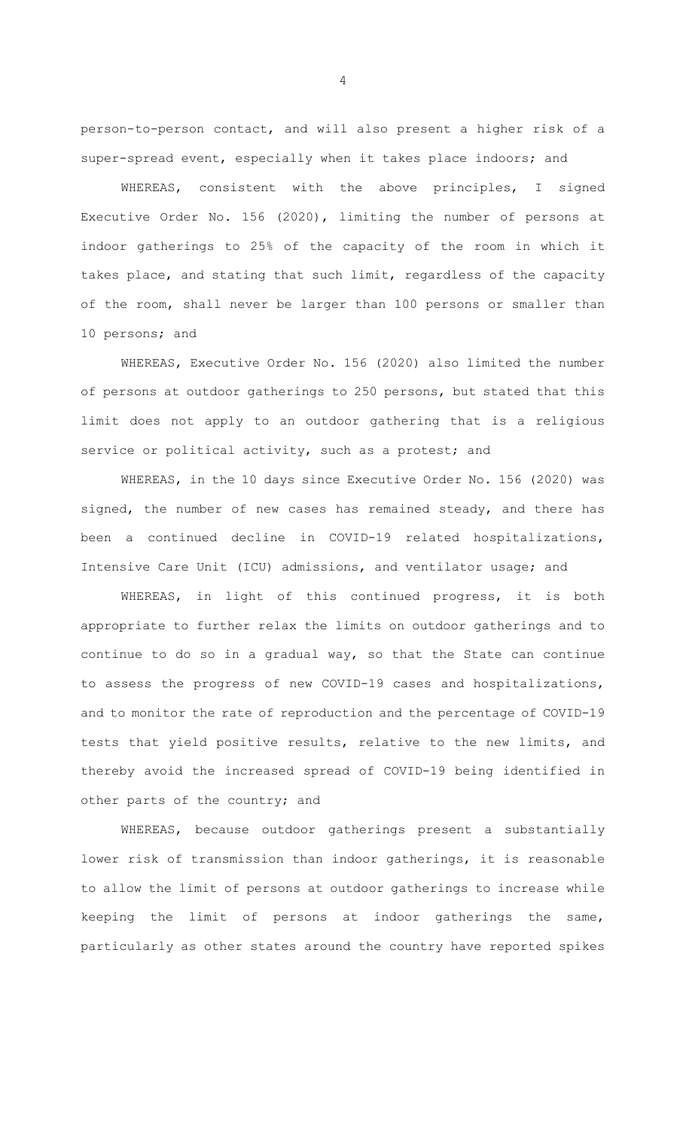person-to-person contact, and will also present a higher risk of a super-spread event, especially when it takes place indoors; and

WHEREAS, consistent with the above principles, I signed Executive Order No. 156 (2020), limiting the number of persons at indoor gatherings to 25% of the capacity of the room in which it takes place, and stating that such limit, regardless of the capacity of the room, shall never be larger than 100 persons or smaller than 10 persons; and

WHEREAS, Executive Order No. 156 (2020) also limited the number of persons at outdoor gatherings to 250 persons, but stated that this limit does not apply to an outdoor gathering that is a religious service or political activity, such as a protest; and

WHEREAS, in the 10 days since Executive Order No. 156 (2020) was signed, the number of new cases has remained steady, and there has been a continued decline in COVID-19 related hospitalizations, Intensive Care Unit (ICU) admissions, and ventilator usage; and

WHEREAS, in light of this continued progress, it is both appropriate to further relax the limits on outdoor gatherings and to continue to do so in a gradual way, so that the State can continue to assess the progress of new COVID-19 cases and hospitalizations, and to monitor the rate of reproduction and the percentage of COVID-19 tests that yield positive results, relative to the new limits, and thereby avoid the increased spread of COVID-19 being identified in other parts of the country; and

WHEREAS, because outdoor gatherings present a substantially lower risk of transmission than indoor gatherings, it is reasonable to allow the limit of persons at outdoor gatherings to increase while keeping the limit of persons at indoor gatherings the same, particularly as other states around the country have reported spikes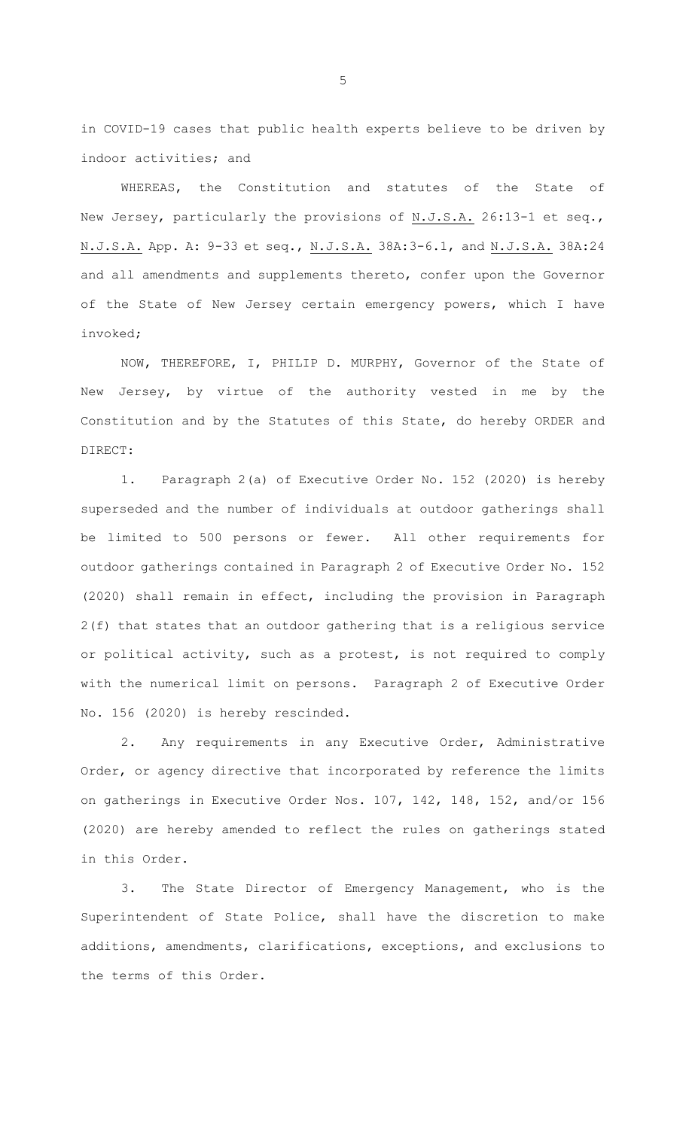in COVID-19 cases that public health experts believe to be driven by indoor activities; and

WHEREAS, the Constitution and statutes of the State of New Jersey, particularly the provisions of N.J.S.A. 26:13-1 et seq., N.J.S.A. App. A: 9-33 et seq., N.J.S.A. 38A:3-6.1, and N.J.S.A. 38A:24 and all amendments and supplements thereto, confer upon the Governor of the State of New Jersey certain emergency powers, which I have invoked;

NOW, THEREFORE, I, PHILIP D. MURPHY, Governor of the State of New Jersey, by virtue of the authority vested in me by the Constitution and by the Statutes of this State, do hereby ORDER and DIRECT:

1. Paragraph 2(a) of Executive Order No. 152 (2020) is hereby superseded and the number of individuals at outdoor gatherings shall be limited to 500 persons or fewer. All other requirements for outdoor gatherings contained in Paragraph 2 of Executive Order No. 152 (2020) shall remain in effect, including the provision in Paragraph 2(f) that states that an outdoor gathering that is a religious service or political activity, such as a protest, is not required to comply with the numerical limit on persons. Paragraph 2 of Executive Order No. 156 (2020) is hereby rescinded.

2. Any requirements in any Executive Order, Administrative Order, or agency directive that incorporated by reference the limits on gatherings in Executive Order Nos. 107, 142, 148, 152, and/or 156 (2020) are hereby amended to reflect the rules on gatherings stated in this Order.

3. The State Director of Emergency Management, who is the Superintendent of State Police, shall have the discretion to make additions, amendments, clarifications, exceptions, and exclusions to the terms of this Order.